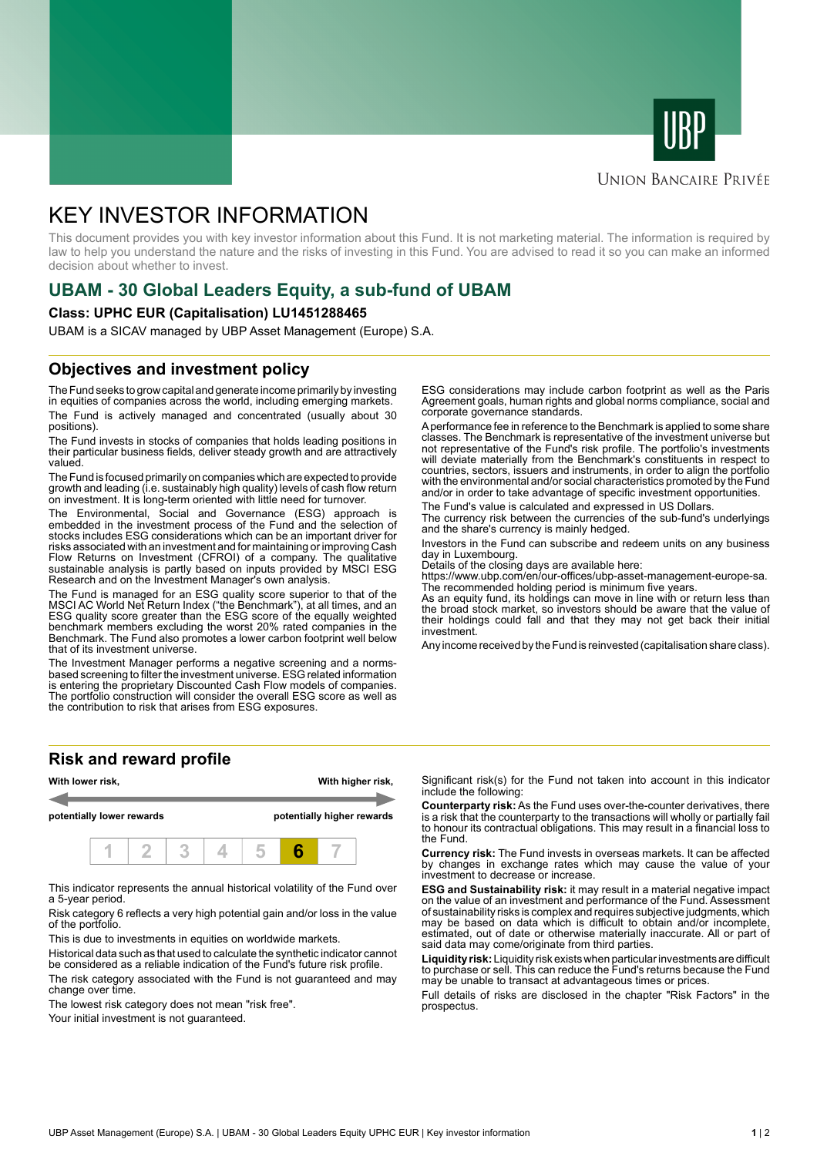



#### **UNION BANCAIRE PRIVÉE**

# KEY INVESTOR INFORMATION

This document provides you with key investor information about this Fund. It is not marketing material. The information is required by law to help you understand the nature and the risks of investing in this Fund. You are advised to read it so you can make an informed decision about whether to invest.

## **UBAM - 30 Global Leaders Equity, a sub-fund of UBAM**

#### **Class: UPHC EUR (Capitalisation) LU1451288465**

UBAM is a SICAV managed by UBP Asset Management (Europe) S.A.

### **Objectives and investment policy**

The Fund seeks to grow capital and generate income primarily by investing in equities of companies across the world, including emerging markets. The Fund is actively managed and concentrated (usually about 30 positions).

The Fund invests in stocks of companies that holds leading positions in their particular business fields, deliver steady growth and are attractively valued.

The Fund is focused primarily on companies which are expected to provide growth and leading (i.e. sustainably high quality) levels of cash flow return on investment. It is long-term oriented with little need for turnover.

The Environmental, Social and Governance (ESG) approach is embedded in the investment process of the Fund and the selection of stocks includes ESG considerations which can be an important driver for risks associated with an investment and for maintaining or improving Cash Flow Returns on Investment (CFROI) of a company. The qualitative sustainable analysis is partly based on inputs provided by MSCI ESG Research and on the Investment Manager's own analysis.

The Fund is managed for an ESG quality score superior to that of the MSCI AC World Net Return Index ("the Benchmark"), at all times, and an ESG quality score greater than the ESG score of the equally weighted benchmark members excluding the worst 20% rated companies in the Benchmark. The Fund also promotes a lower carbon footprint well below that of its investment universe.

The Investment Manager performs a negative screening and a normsbased screening to filter the investment universe. ESG related information is entering the proprietary Discounted Cash Flow models of companies. The portfolio construction will consider the overall ESG score as well as the contribution to risk that arises from ESG exposures.

ESG considerations may include carbon footprint as well as the Paris Agreement goals, human rights and global norms compliance, social and corporate governance standards.

A performance fee in reference to the Benchmark is applied to some share classes. The Benchmark is representative of the investment universe but not representative of the Fund's risk profile. The portfolio's investments will deviate materially from the Benchmark's constituents in respect to countries, sectors, issuers and instruments, in order to align the portfolio with the environmental and/or social characteristics promoted by the Fund and/or in order to take advantage of specific investment opportunities.

The Fund's value is calculated and expressed in US Dollars.

The currency risk between the currencies of the sub-fund's underlyings and the share's currency is mainly hedged.

Investors in the Fund can subscribe and redeem units on any business day in Luxembourg.

Details of the closing days are available here:

https://www.ubp.com/en/our-offices/ubp-asset-management-europe-sa. The recommended holding period is minimum five years.

As an equity fund, its holdings can move in line with or return less than the broad stock market, so investors should be aware that the value of their holdings could fall and that they may not get back their initial investment.

Any income received by the Fund is reinvested (capitalisation share class).

#### **Risk and reward profile**



This indicator represents the annual historical volatility of the Fund over a 5-year period.

Risk category 6 reflects a very high potential gain and/or loss in the value of the portfolio.

This is due to investments in equities on worldwide markets.

Historical data such as that used to calculate the synthetic indicator cannot be considered as a reliable indication of the Fund's future risk profile.

The risk category associated with the Fund is not guaranteed and may change over time.

The lowest risk category does not mean "risk free".

Your initial investment is not quaranteed.

Significant risk(s) for the Fund not taken into account in this indicator include the following:

**Counterparty risk:** As the Fund uses over-the-counter derivatives, there is a risk that the counterparty to the transactions will wholly or partially fail to honour its contractual obligations. This may result in a financial loss to the Fund.

**Currency risk:** The Fund invests in overseas markets. It can be affected by changes in exchange rates which may cause the value of your investment to decrease or increase.

**ESG and Sustainability risk:** it may result in a material negative impact on the value of an investment and performance of the Fund. Assessment of sustainability risks is complex and requires subjective judgments, which may be based on data which is difficult to obtain and/or incomplete, estimated, out of date or otherwise materially inaccurate. All or part of said data may come/originate from third parties.

**Liquidity risk:** Liquidity risk exists when particular investments are difficult to purchase or sell. This can reduce the Fund's returns because the Fund may be unable to transact at advantageous times or prices.

Full details of risks are disclosed in the chapter "Risk Factors" in the prospectus.